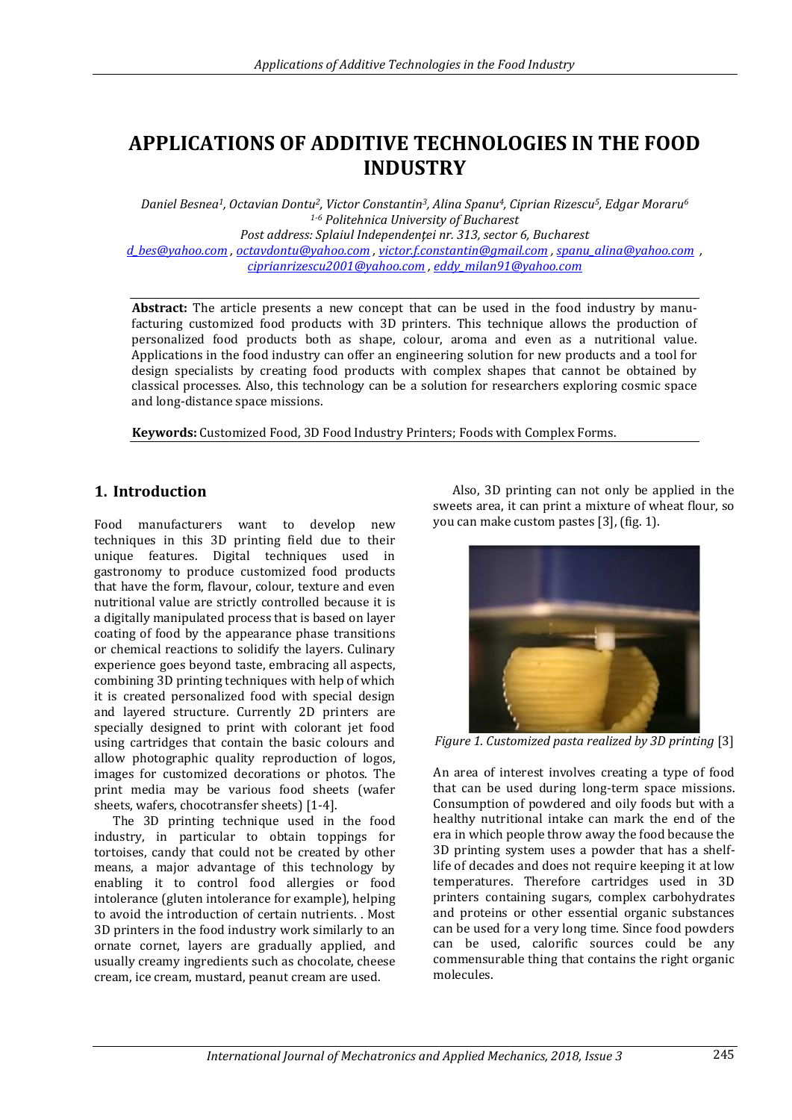# **APPLICATIONS OF ADDITIVE TECHNOLOGIES IN THE FOOD INDUSTRY**

*Daniel Besnea1, Octavian Dontu2, Victor Constantin3, Alina Spanu4, Ciprian Rizescu5, Edgar Moraru<sup>6</sup> 1-6 Politehnica University of Bucharest Post address: Splaiul Independenţei nr. 313, sector 6, Bucharest [d\\_bes@yahoo.com](mailto:d_bes@yahoo.com) , [octavdontu@yahoo.com](mailto:octavdontu@yahoo.com) , [victor.f.constantin@gmail.com](mailto:victor.f.constantin@gmail.com) [, spanu\\_alina@yahoo.com](mailto:spanu_alina@yahoo.com) , [ciprianrizescu2001@yahoo.com](mailto:ciprianrizescu2001@yahoo.com) [, eddy\\_milan91@yahoo.com](mailto:eddy_milan91@yahoo.com)*

**Abstract:** The article presents a new concept that can be used in the food industry by manufacturing customized food products with 3D printers. This technique allows the production of personalized food products both as shape, colour, aroma and even as a nutritional value. Applications in the food industry can offer an engineering solution for new products and a tool for design specialists by creating food products with complex shapes that cannot be obtained by classical processes. Also, this technology can be a solution for researchers exploring cosmic space and long-distance space missions.

**Keywords:** Customized Food, 3D Food Industry Printers; Foods with Complex Forms.

### **1. Introduction**

Food manufacturers want to develop new techniques in this 3D printing field due to their unique features. Digital techniques used in gastronomy to produce customized food products that have the form, flavour, colour, texture and even nutritional value are strictly controlled because it is a digitally manipulated process that is based on layer coating of food by the appearance phase transitions or chemical reactions to solidify the layers. Culinary experience goes beyond taste, embracing all aspects, combining 3D printing techniques with help of which it is created personalized food with special design and layered structure. Currently 2D printers are specially designed to print with colorant jet food using cartridges that contain the basic colours and allow photographic quality reproduction of logos, images for customized decorations or photos. The print media may be various food sheets (wafer sheets, wafers, chocotransfer sheets) [1-4].

The 3D printing technique used in the food industry, in particular to obtain toppings for tortoises, candy that could not be created by other means, a major advantage of this technology by enabling it to control food allergies or food intolerance (gluten intolerance for example), helping to avoid the introduction of certain nutrients. . Most 3D printers in the food industry work similarly to an ornate cornet, layers are gradually applied, and usually creamy ingredients such as chocolate, cheese cream, ice cream, mustard, peanut cream are used.

Also, 3D printing can not only be applied in the sweets area, it can print a mixture of wheat flour, so you can make custom pastes [3], (fig. 1).



*Figure 1. Customized pasta realized by 3D printing* [3]

An area of interest involves creating a type of food that can be used during long-term space missions. Consumption of powdered and oily foods but with a healthy nutritional intake can mark the end of the era in which people throw away the food because the 3D printing system uses a powder that has a shelflife of decades and does not require keeping it at low temperatures. Therefore cartridges used in 3D printers containing sugars, complex carbohydrates and proteins or other essential organic substances can be used for a very long time. Since food powders can be used, calorific sources could be any commensurable thing that contains the right organic molecules.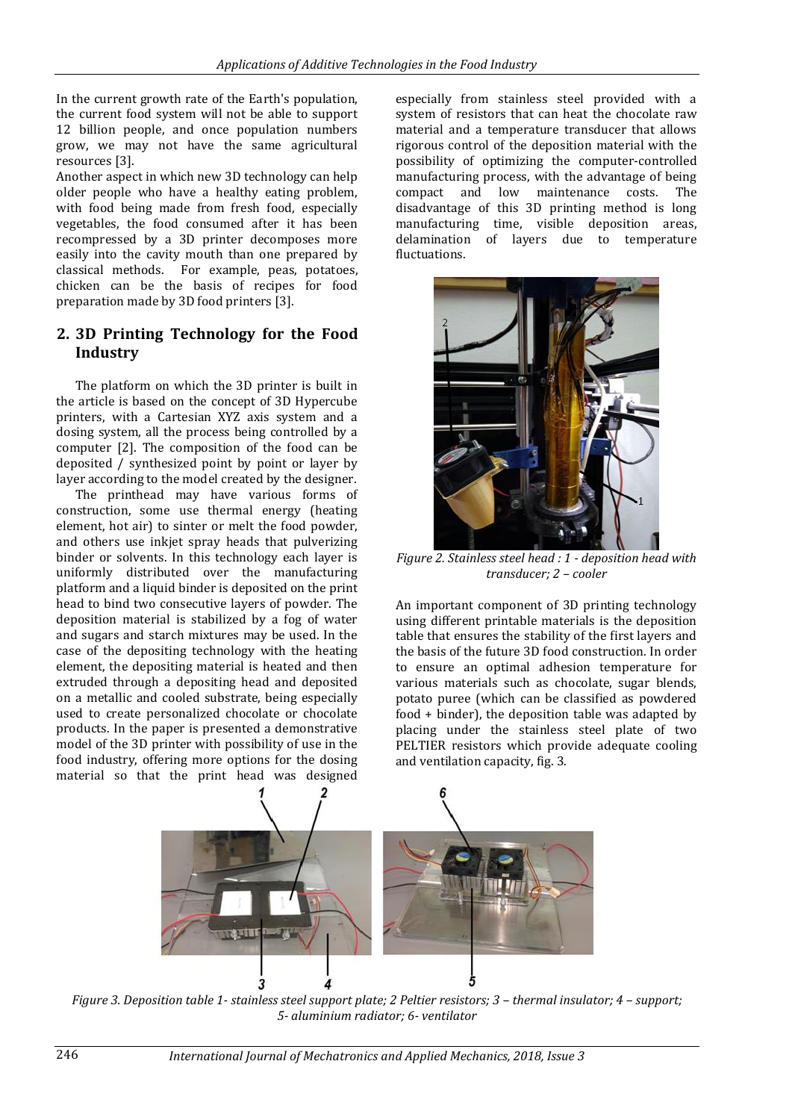In the current growth rate of the Earth's population, the current food system will not be able to support 12 billion people, and once population numbers grow, we may not have the same agricultural resources [3].

Another aspect in which new 3D technology can help older people who have a healthy eating problem, with food being made from fresh food, especially vegetables, the food consumed after it has been recompressed by a 3D printer decomposes more easily into the cavity mouth than one prepared by classical methods. For example, peas, potatoes, chicken can be the basis of recipes for food preparation made by 3D food printers [3].

#### **2. 3D Printing Technology for the Food Industry**

The platform on which the 3D printer is built in the article is based on the concept of 3D Hypercube printers, with a Cartesian XYZ axis system and a dosing system, all the process being controlled by a computer [2]. The composition of the food can be deposited / synthesized point by point or layer by layer according to the model created by the designer.

The printhead may have various forms of construction, some use thermal energy (heating element, hot air) to sinter or melt the food powder, and others use inkjet spray heads that pulverizing binder or solvents. In this technology each layer is uniformly distributed over the manufacturing platform and a liquid binder is deposited on the print head to bind two consecutive layers of powder. The deposition material is stabilized by a fog of water and sugars and starch mixtures may be used. In the case of the depositing technology with the heating element, the depositing material is heated and then extruded through a depositing head and deposited on a metallic and cooled substrate, being especially used to create personalized chocolate or chocolate products. In the paper is presented a demonstrative model of the 3D printer with possibility of use in the food industry, offering more options for the dosing material so that the print head was designed

especially from stainless steel provided with a system of resistors that can heat the chocolate raw material and a temperature transducer that allows rigorous control of the deposition material with the possibility of optimizing the computer-controlled manufacturing process, with the advantage of being compact and low maintenance costs. The disadvantage of this 3D printing method is long manufacturing time, visible deposition areas, delamination of layers due to temperature fluctuations.



*Figure 2. Stainless steel head : 1 - deposition head with transducer; 2 – cooler*

An important component of 3D printing technology using different printable materials is the deposition table that ensures the stability of the first layers and the basis of the future 3D food construction. In order to ensure an optimal adhesion temperature for various materials such as chocolate, sugar blends, potato puree (which can be classified as powdered food + binder), the deposition table was adapted by placing under the stainless steel plate of two PELTIER resistors which provide adequate cooling and ventilation capacity, fig. 3.



*Figure 3. Deposition table 1- stainless steel support plate; 2 Peltier resistors; 3 – thermal insulator; 4 – support; 5- aluminium radiator; 6- ventilator*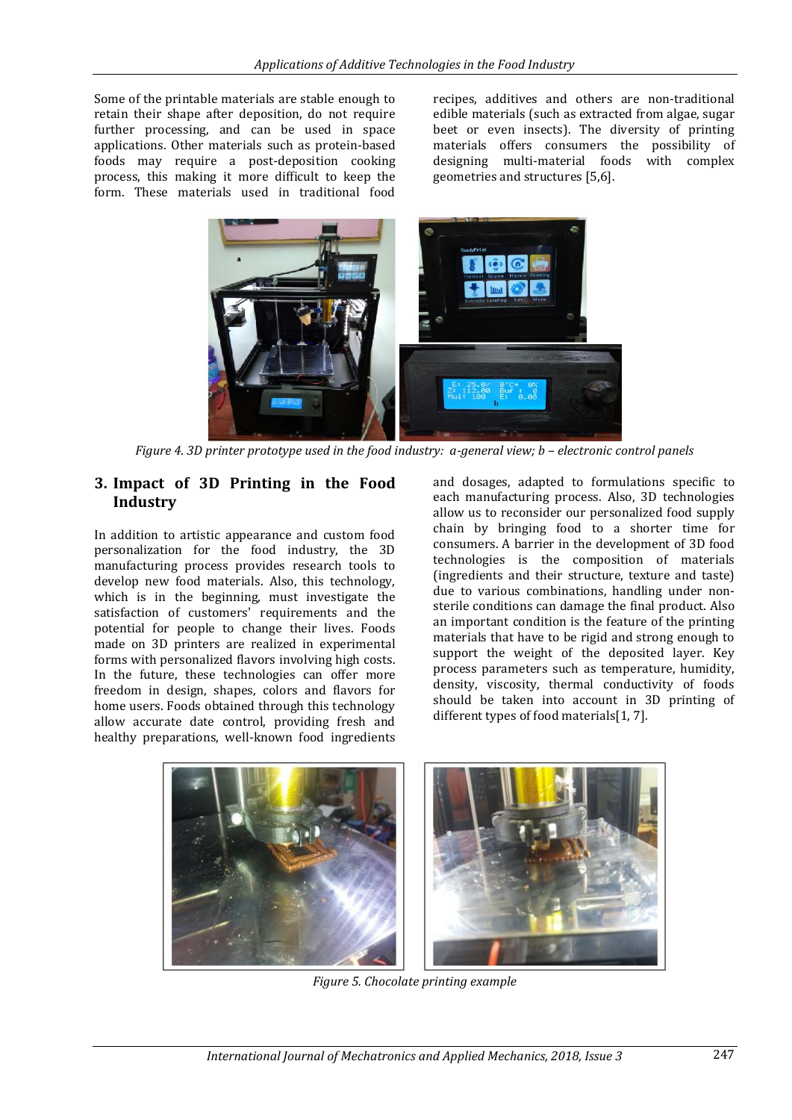Some of the printable materials are stable enough to retain their shape after deposition, do not require further processing, and can be used in space applications. Other materials such as protein-based foods may require a post-deposition cooking process, this making it more difficult to keep the form. These materials used in traditional food recipes, additives and others are non-traditional edible materials (such as extracted from algae, sugar beet or even insects). The diversity of printing materials offers consumers the possibility of designing multi-material foods with complex geometries and structures [5,6].



*Figure 4. 3D printer prototype used in the food industry: a-general view; b – electronic control panels* 

### **3. Impact of 3D Printing in the Food Industry**

In addition to artistic appearance and custom food personalization for the food industry, the 3D manufacturing process provides research tools to develop new food materials. Also, this technology, which is in the beginning, must investigate the satisfaction of customers' requirements and the potential for people to change their lives. Foods made on 3D printers are realized in experimental forms with personalized flavors involving high costs. In the future, these technologies can offer more freedom in design, shapes, colors and flavors for home users. Foods obtained through this technology allow accurate date control, providing fresh and healthy preparations, well-known food ingredients

and dosages, adapted to formulations specific to each manufacturing process. Also, 3D technologies allow us to reconsider our personalized food supply chain by bringing food to a shorter time for consumers. A barrier in the development of 3D food technologies is the composition of materials (ingredients and their structure, texture and taste) due to various combinations, handling under nonsterile conditions can damage the final product. Also an important condition is the feature of the printing materials that have to be rigid and strong enough to support the weight of the deposited layer. Key process parameters such as temperature, humidity, density, viscosity, thermal conductivity of foods should be taken into account in 3D printing of different types of food materials[1, 7].



*Figure 5. Chocolate printing example*